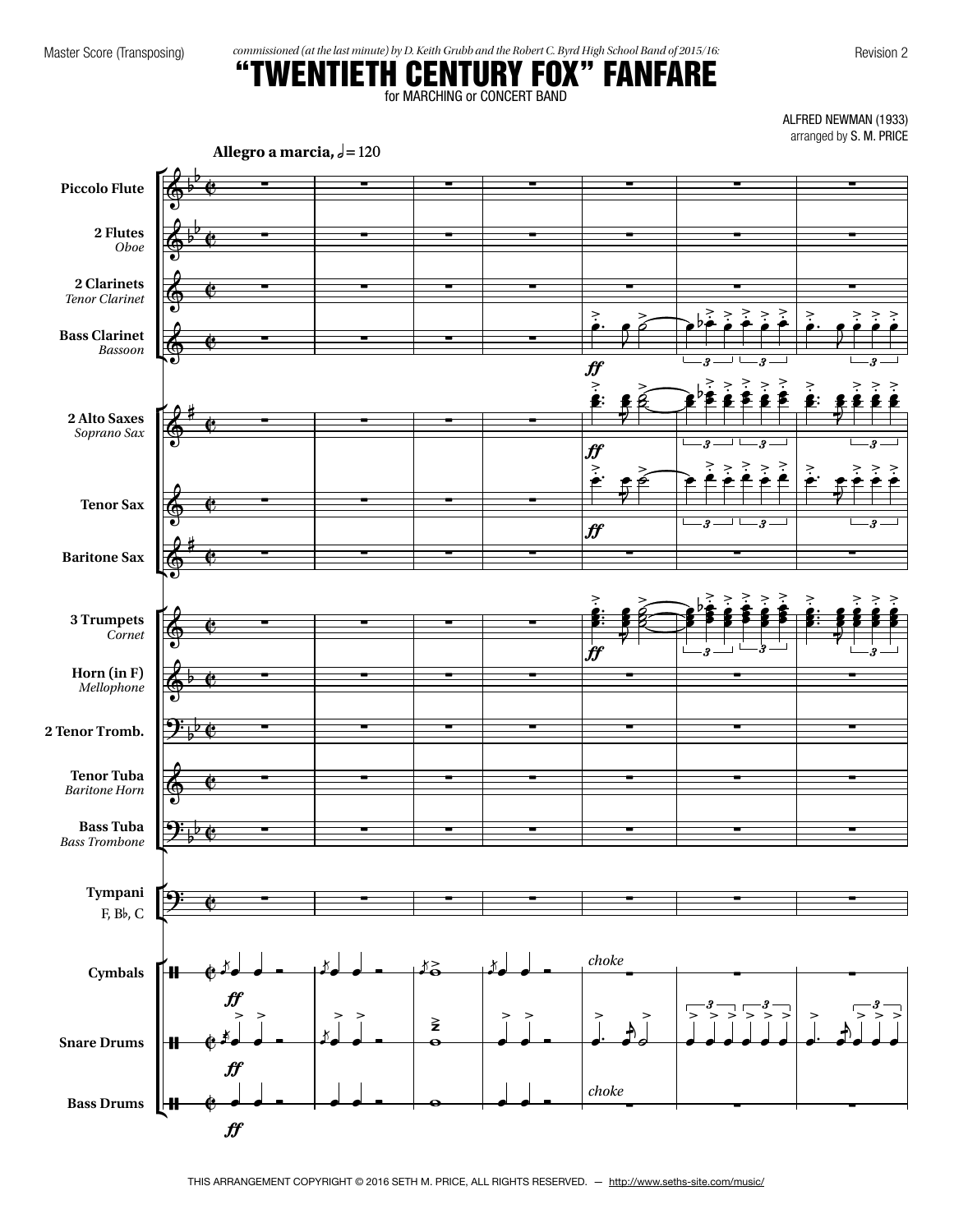Master Score (Transposing) *commissioned (at the last minute) by D. Keith Grubb and the Robert C. Byrd High School Band of 2015/16:* Revision 2

# "TWENTIETH CENTURY FOX" FANFARE

for MARCHING or CONCERT BAND

ALFRED NEWMAN (1933) arranged by S.M. PRICE

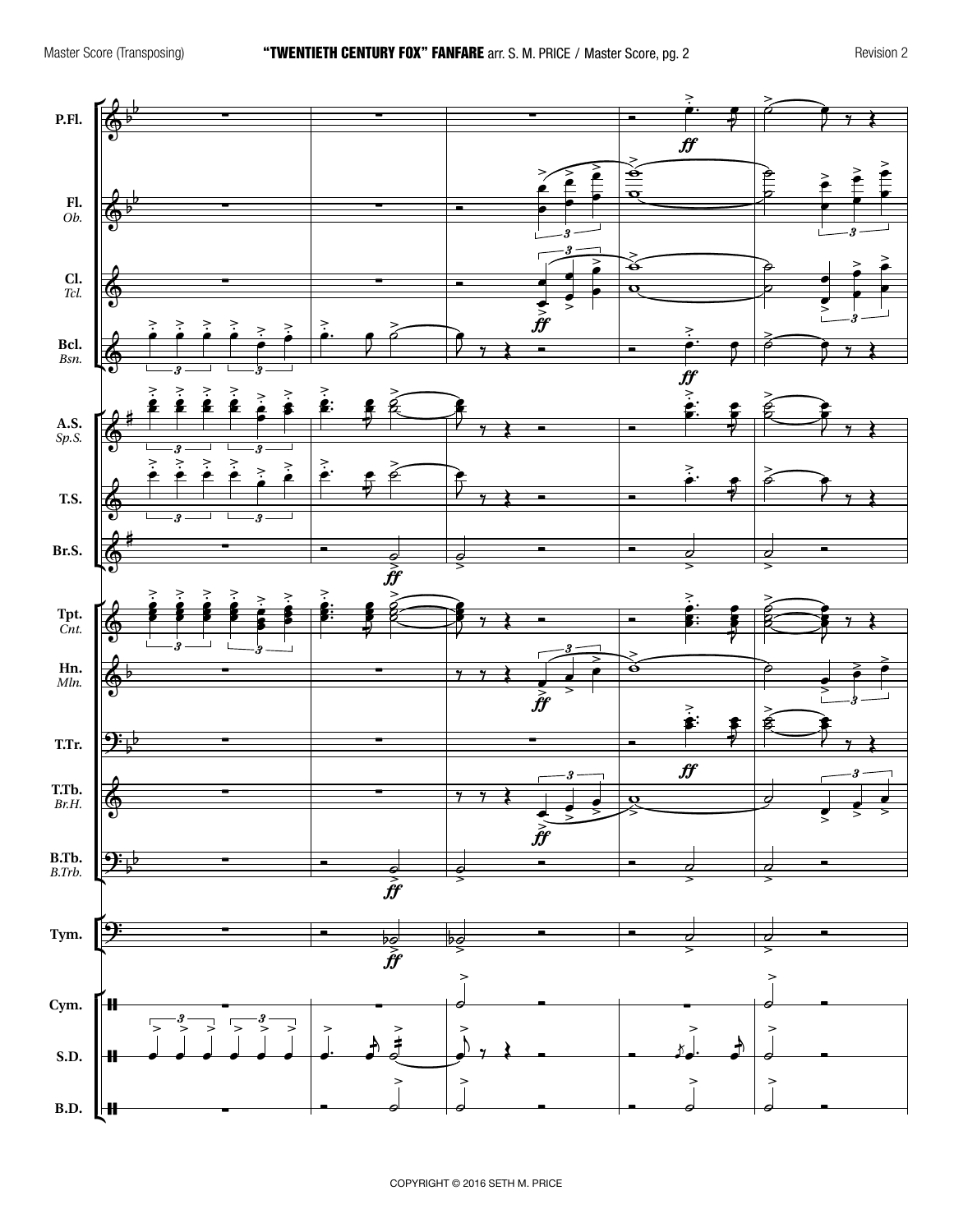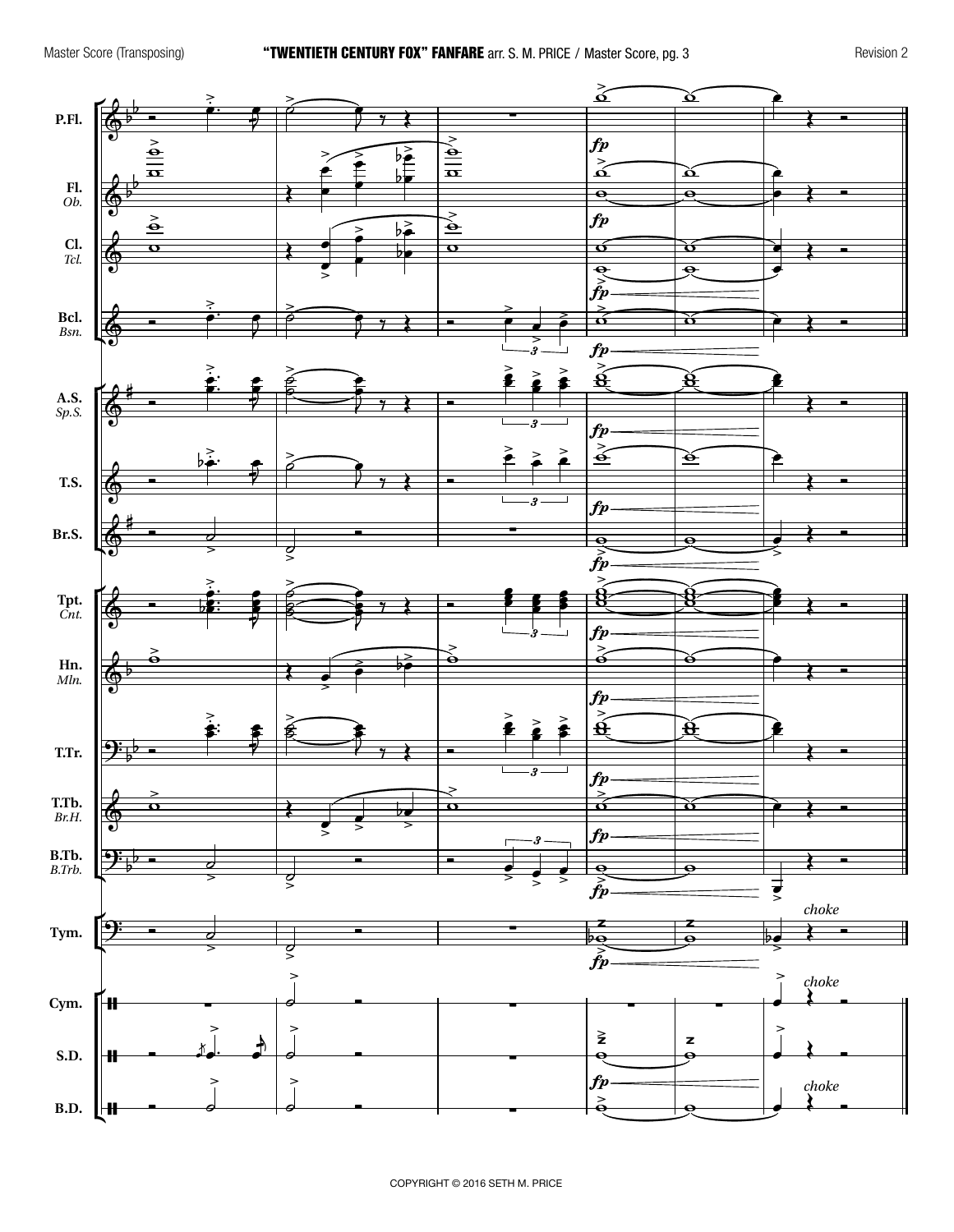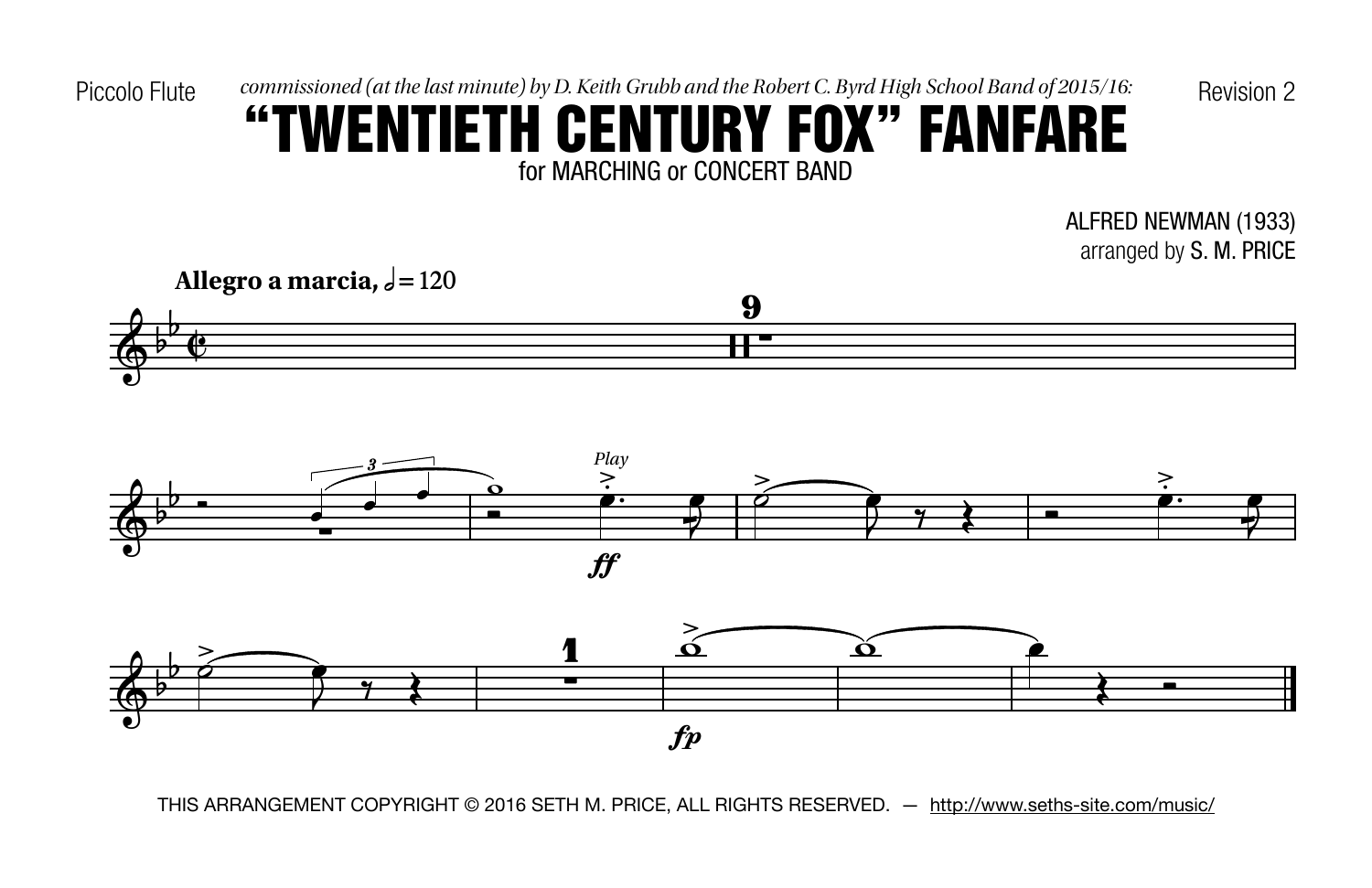Piccolo Flute  $\qquad \qquad commissioned (at the last minute) by D. Keith Grubb and the Robert C. Byrd High School Band of 2015/16: \qquad \qquad Revision 2$ 

### for MARCHING or CONCERT BAND "TWENTIETH CENTURY FOX" FANFARE

ALFRED NEWMAN (1933) arranged by S. M. PRICE



 $\mathfrak{f} p$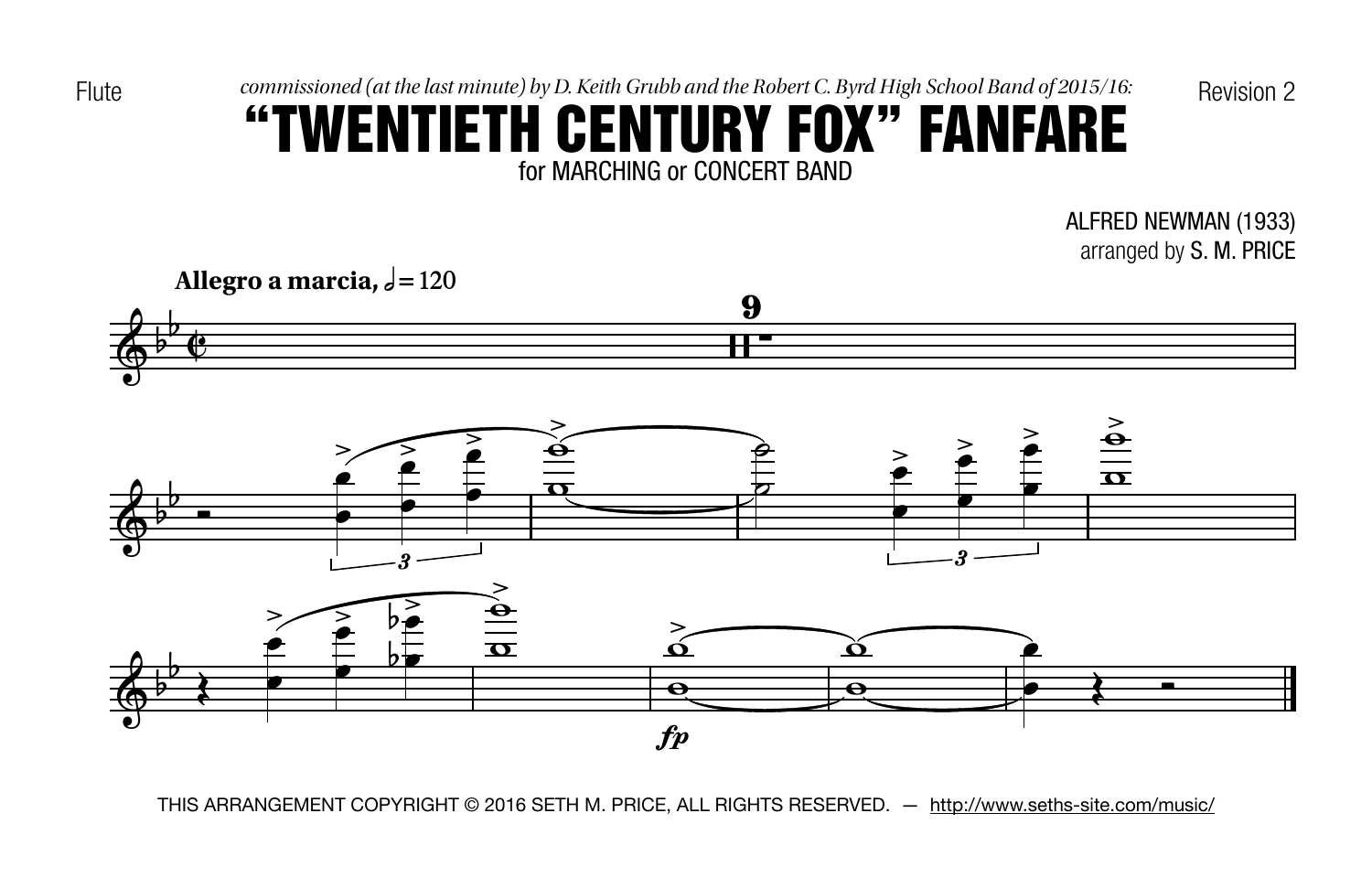Flute commissioned (at the last minute) by D. Keith Grubb and the Robert C. Byrd High School Band of 2015/16: Revision 2

## for MARCHING or CONCERT BAND "TWENTIETH CENTURY FOX" FANFARE

ALFRED NEWMAN (1933) arranged by S. M. PRICE

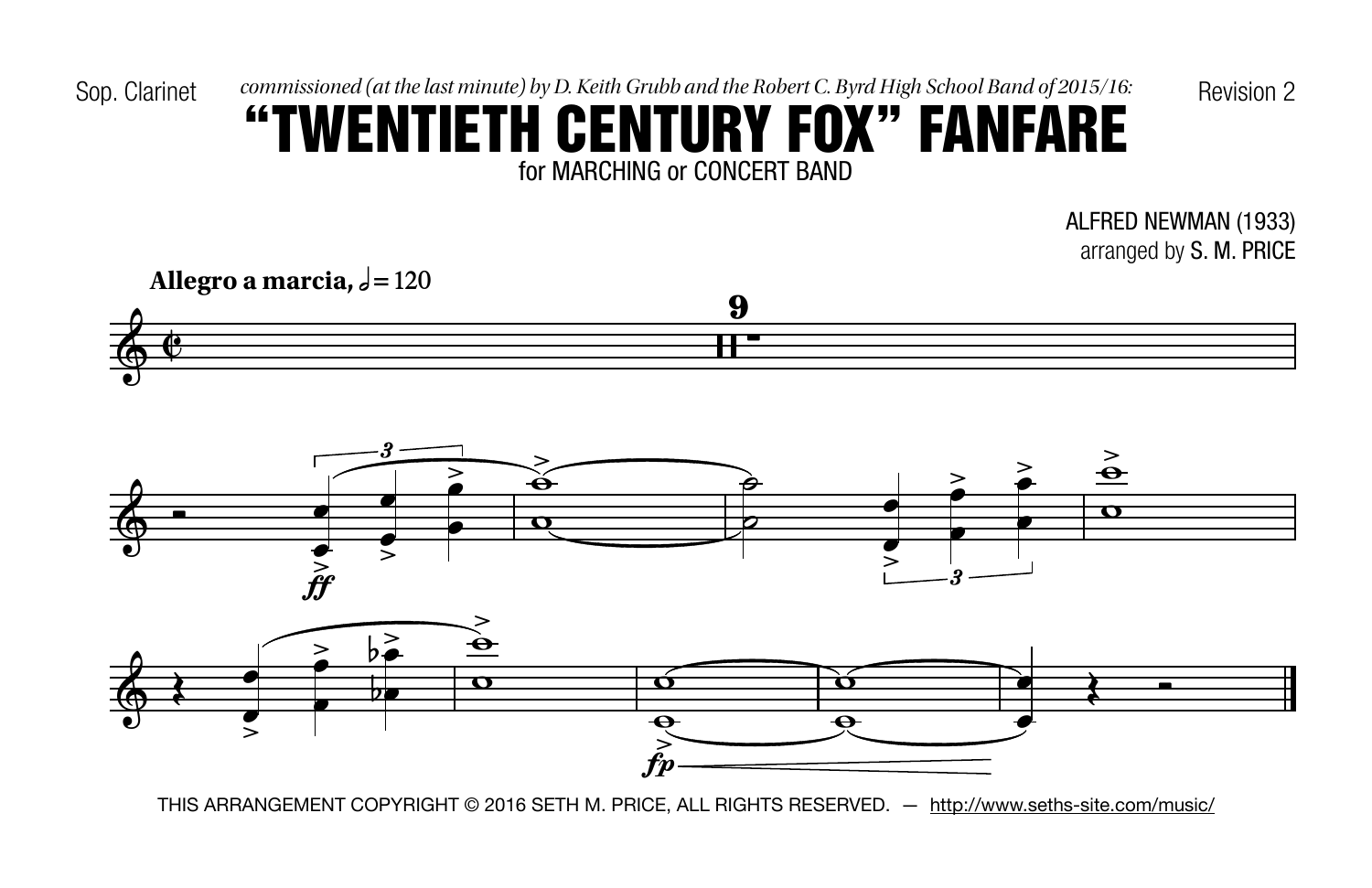Sop. Clarinet commissioned (at the last minute) by D. Keith Grubb and the Robert C. Byrd High School Band of 2015/16: Revision 2

## for MARCHING or CONCERT BAND "TWENTIETH CENTURY FOX" FANFARE

ALFRED NEWMAN (1933) arranged by S. M. PRICE

**Allegro a** marcia,  $\sqrt{=}120$ Allegro a marcia,  $\frac{1}{2} = 120$ 

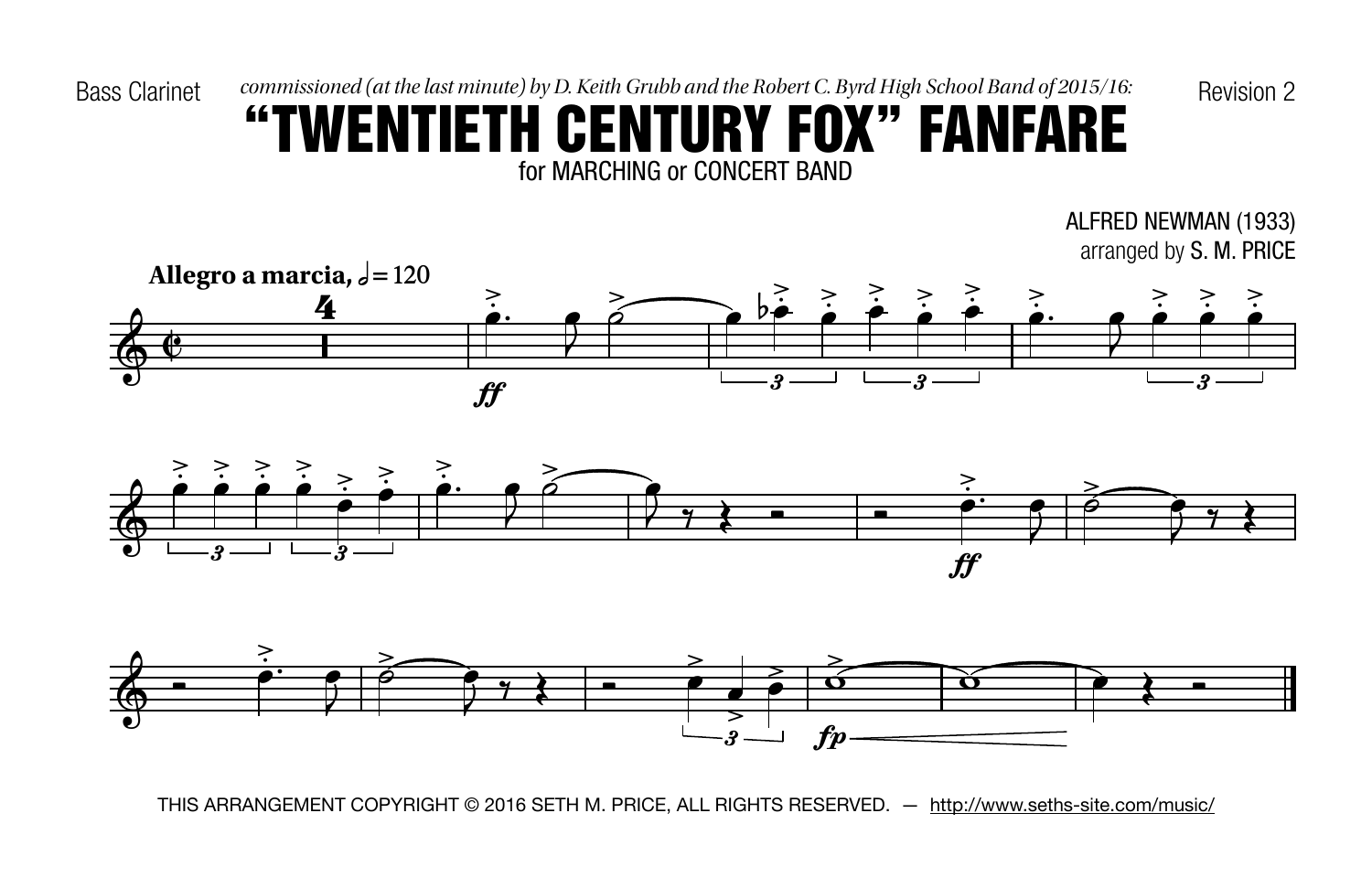Bass Clarinet commissioned (at the last minute) by D. Keith Grubb and the Robert C. Byrd High School Band of 2015/16: Revision 2

#### for MARCHING or CONCERT BAND "TWENTIETH CENTURY FOX" FANFARE

ALFRED NEWMAN (1933) arranged by S. M. PRICE





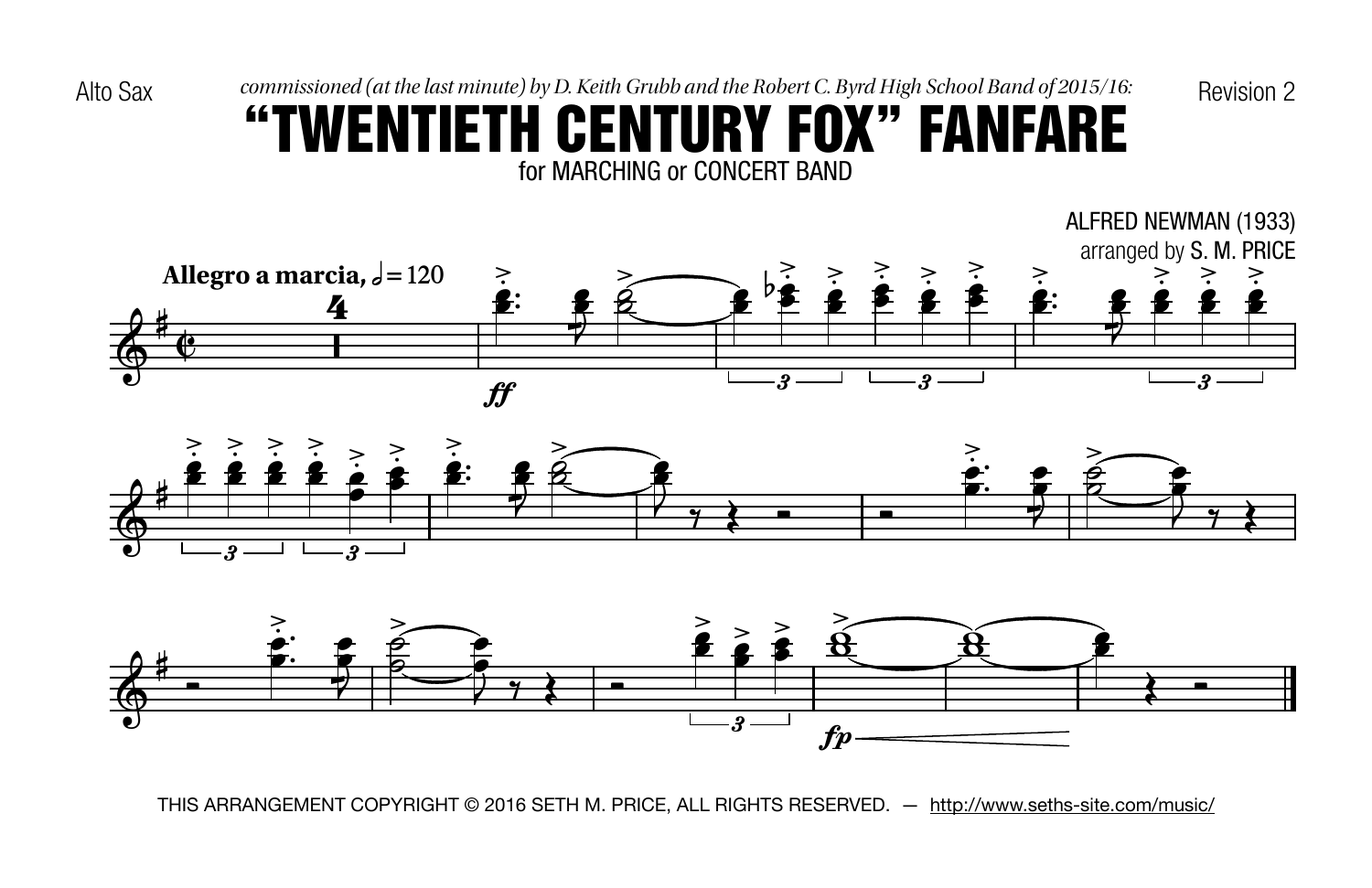Alto Sax commissioned (at the last minute) by D. Keith Grubb and the Robert C. Byrd High School Band of 2015/16: Revision 2

#### for MARCHING or CONCERT BAND "TWENTIETH CENTURY FOX" FANFARE





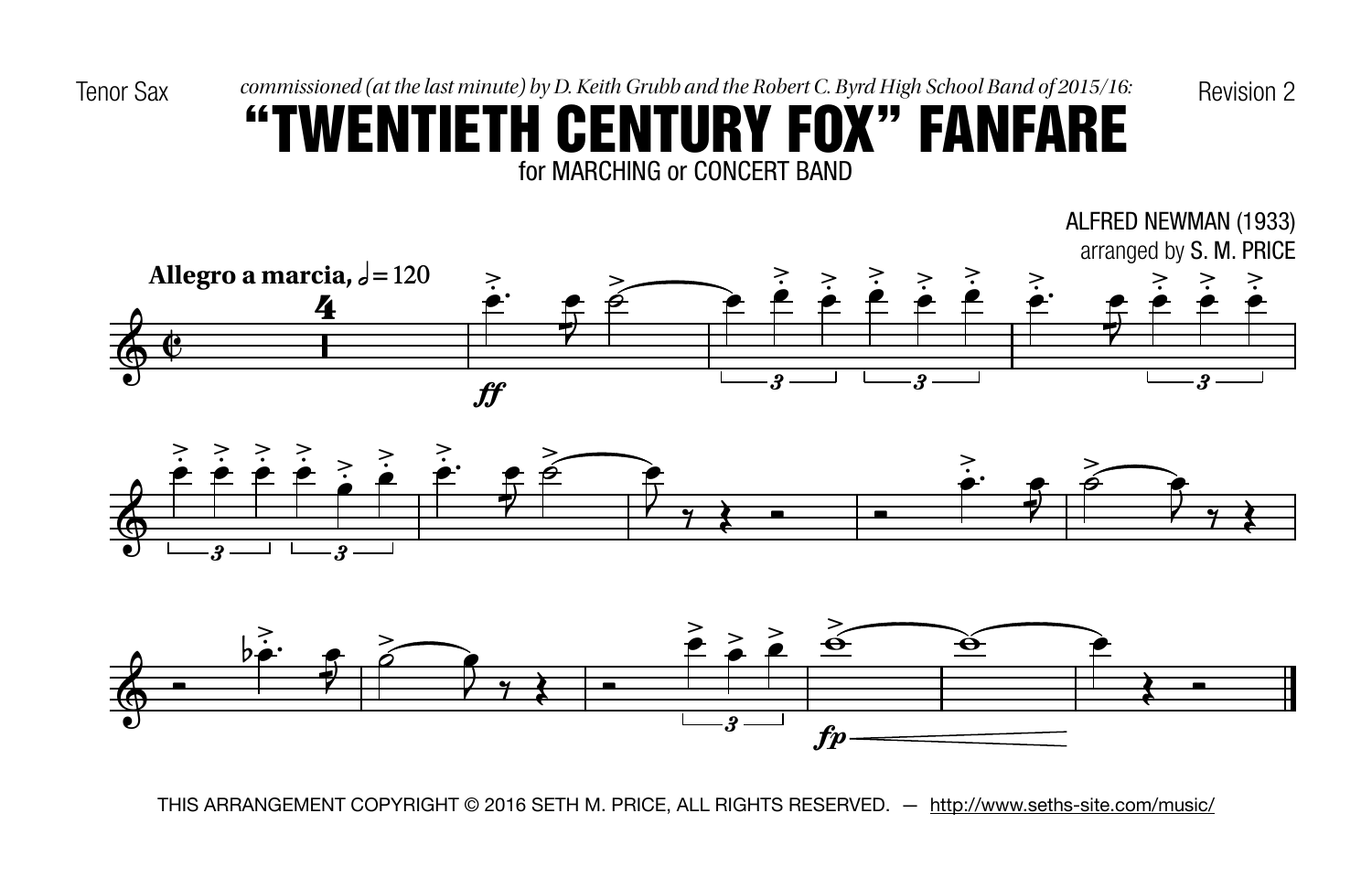Tenor Sax commissioned (at the last minute) by D. Keith Grubb and the Robert C. Byrd High School Band of 2015/16: Revision 2

#### for MARCHING or CONCERT BAND "TWENTIETH CENTURY FOX" FANFARE





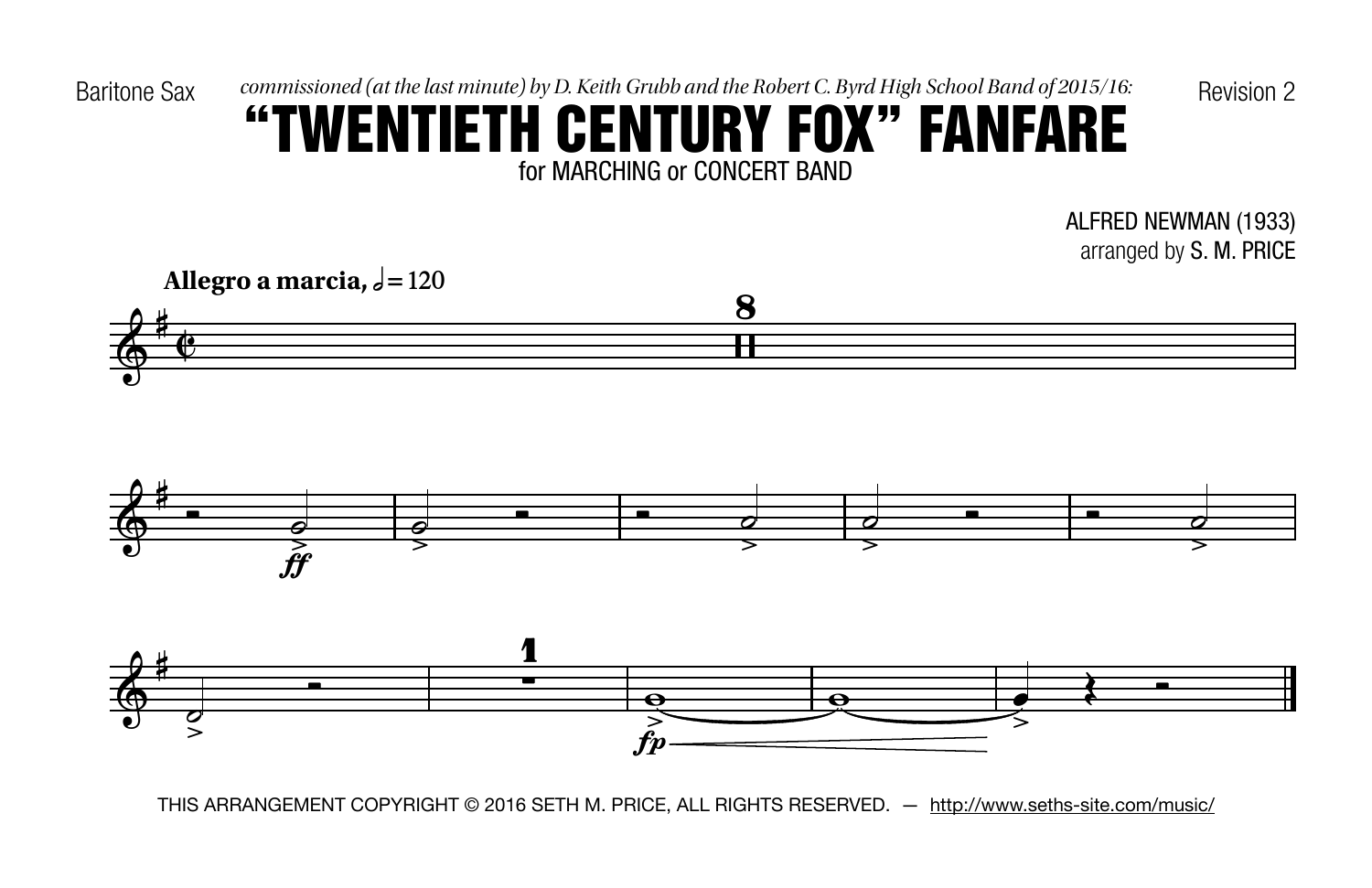Baritone Sax commissioned (at the last minute) by D. Keith Grubb and the Robert C. Byrd High School Band of 2015/16: Revision 2

## for MARCHING or CONCERT BAND "TWENTIETH CENTURY FOX" FANFARE

ALFRED NEWMAN (1933) arranged by S. M. PRICE

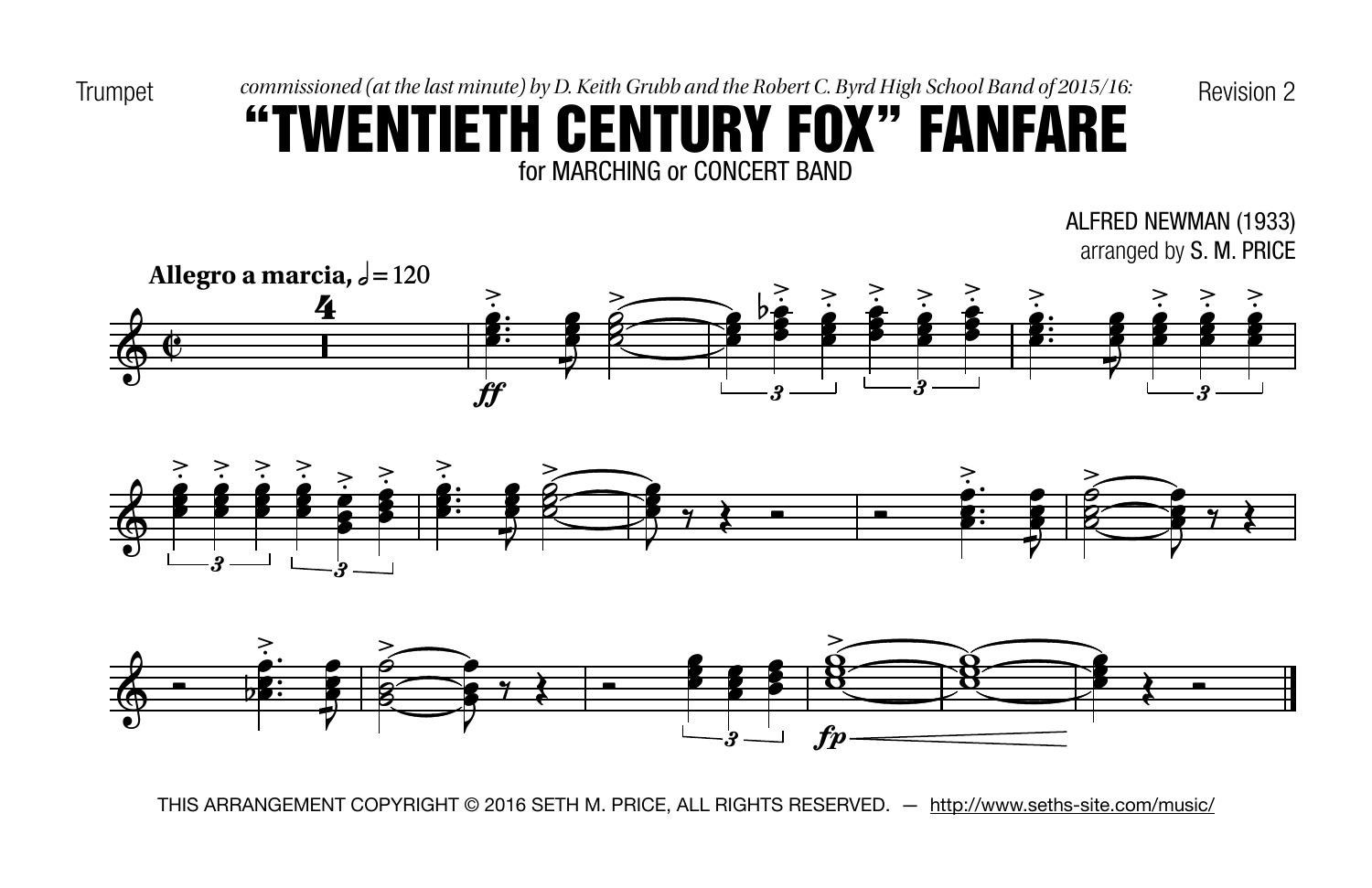Trumpet commissioned (at the last minute) by D. Keith Grubb and the Robert C. Byrd High School Band of 2015/16: Revision 2

## for MARCHING or CONCERT BAND "TWENTIETH CENTURY FOX" FANFARE

ALFRED NEWMAN (1933) arranged by S. M. PRICE





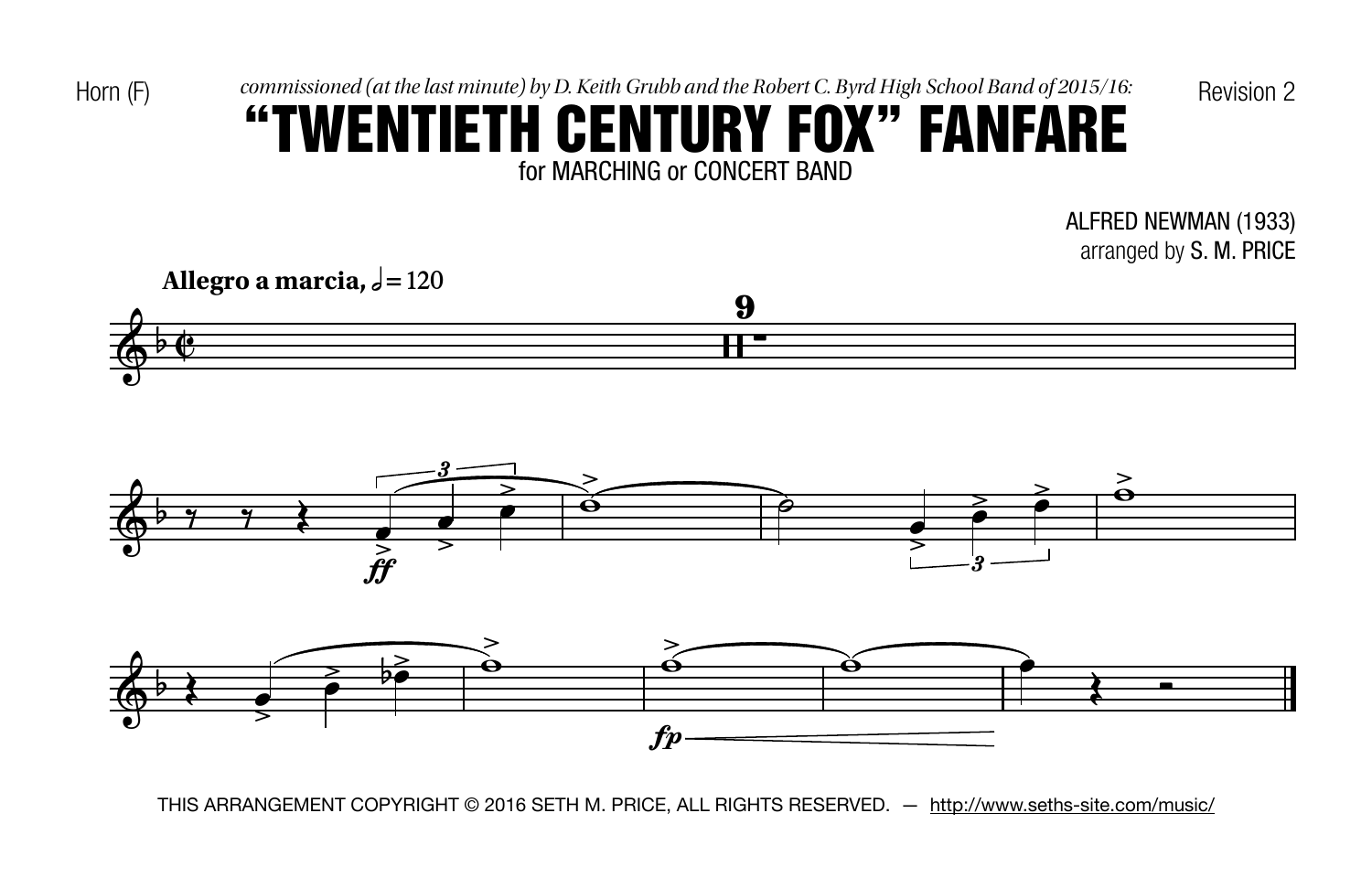Horn  $(F)$  commissioned (at the last minute) by D. Keith Grubb and the Robert C. Byrd High School Band of 2015/16: Revision 2

## for MARCHING or CONCERT BAND "TWENTIETH CENTURY FOX" FANFARE

ALFRED NEWMAN (1933) arranged by S. M. PRICE





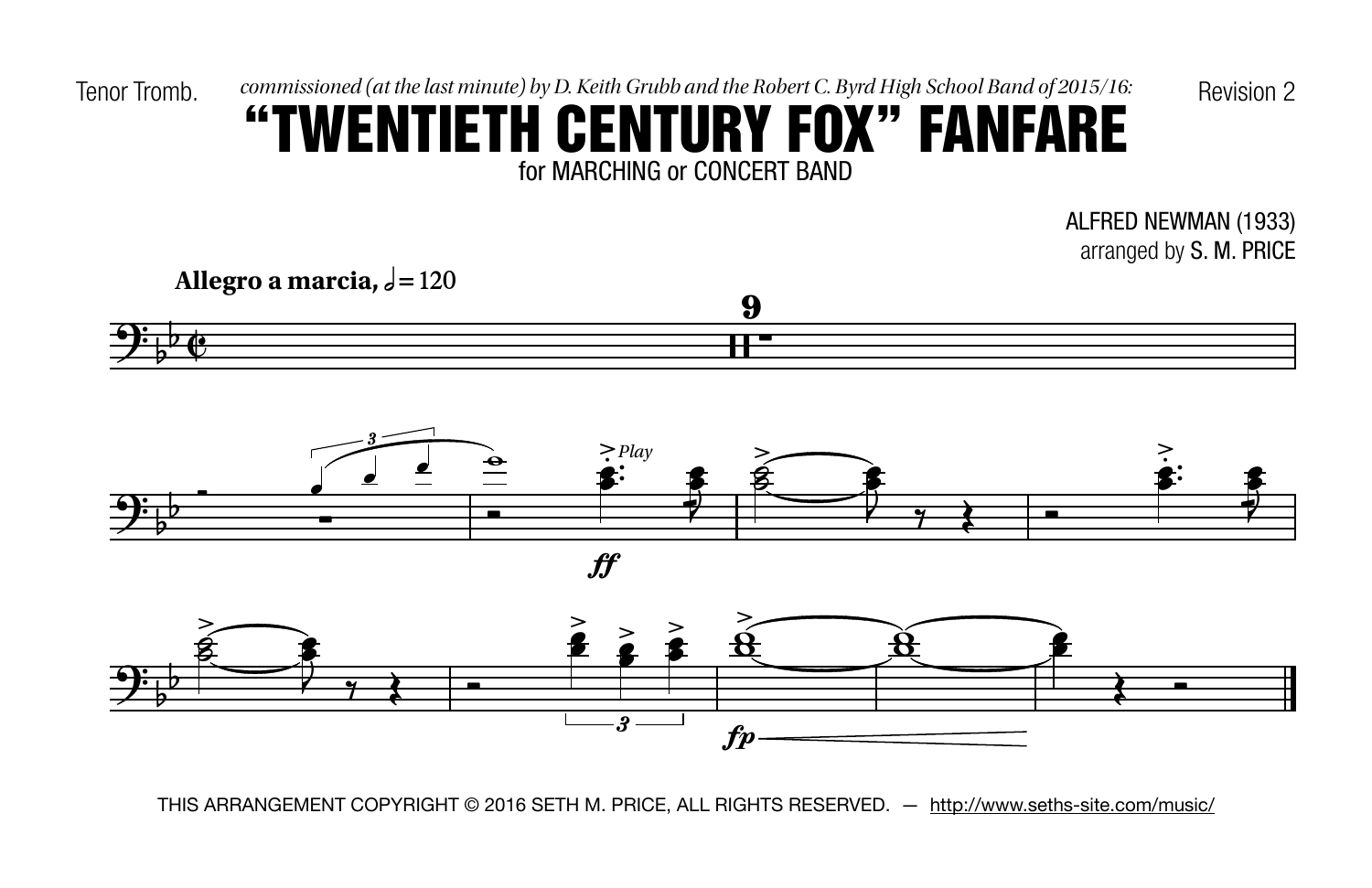#### for MARCHING or CONCERT BAND "TWENTIETH CENTURY FOX" FANFARE

ALFRED NEWMAN (1933) arranged by S. M. PRICE







 $f\hspace{-0.1cm}f$ 

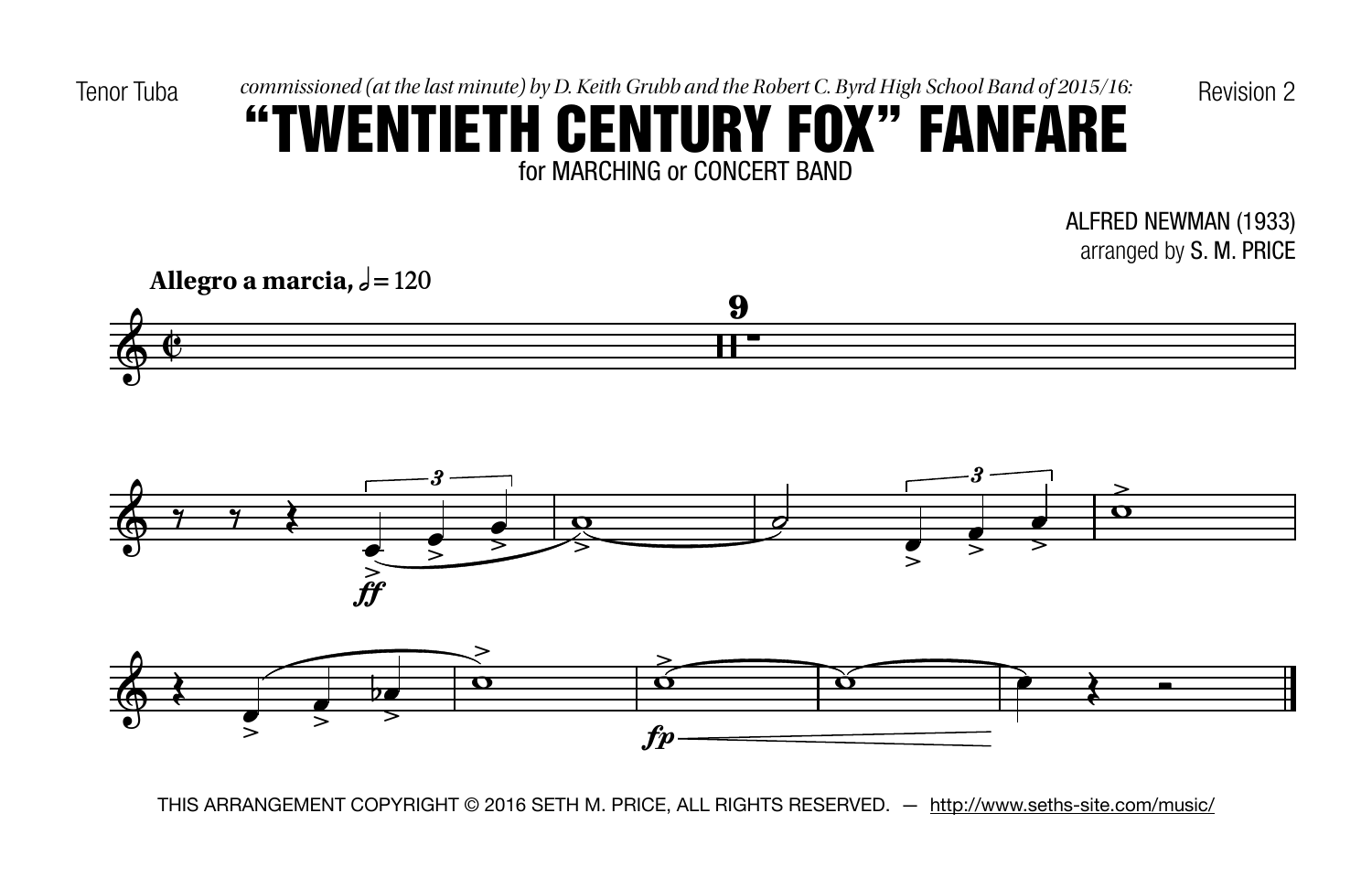Tenor Tuba commissioned (at the last minute) by D. Keith Grubb and the Robert C. Byrd High School Band of 2015/16: Revision 2

## for MARCHING or CONCERT BAND "TWENTIETH CENTURY FOX" FANFARE

ALFRED NEWMAN (1933) arranged by S. M. PRICE





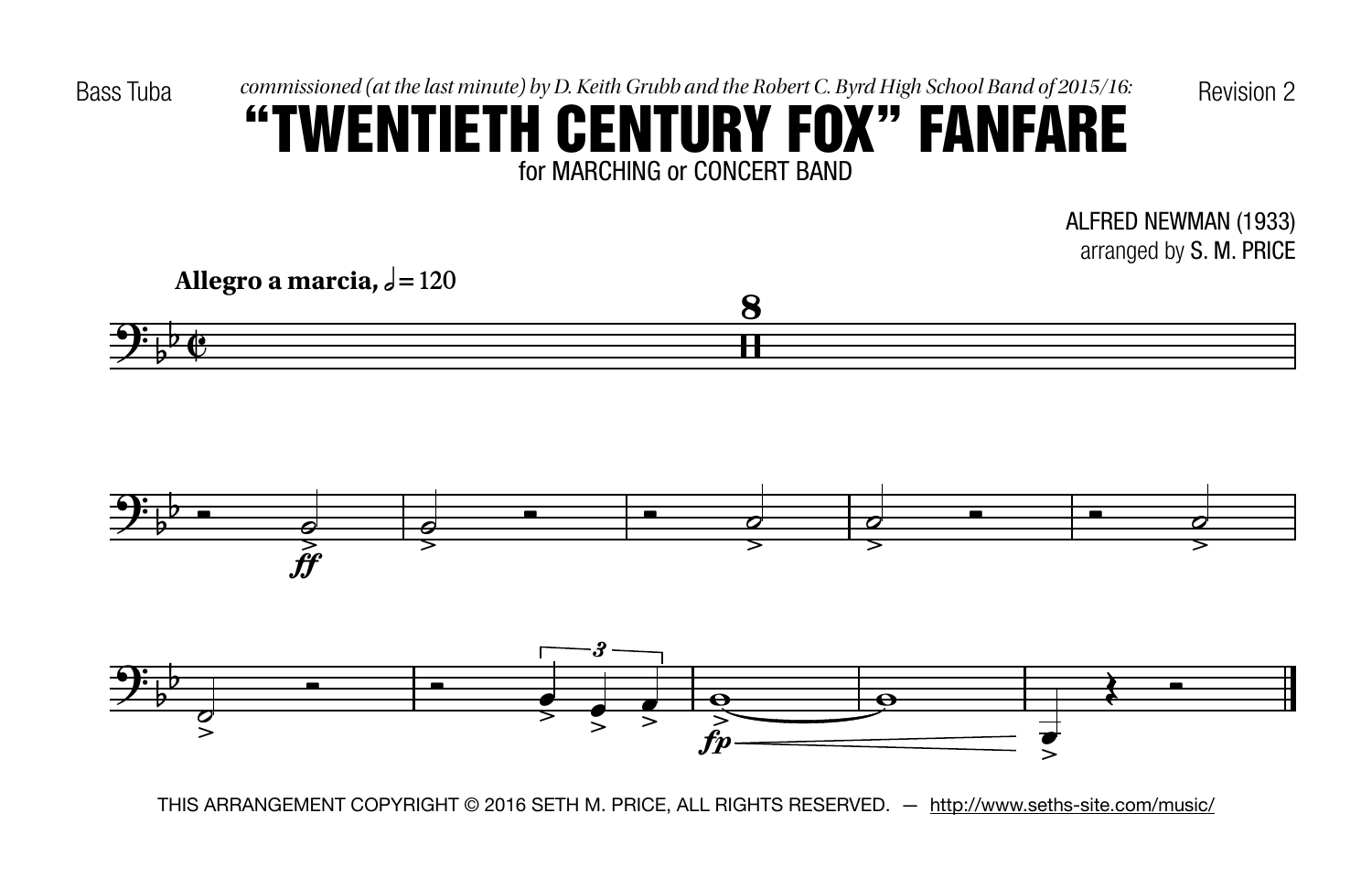## for MARCHING or CONCERT BAND "TWENTIETH CENTURY FOX" FANFARE

ALFRED NEWMAN (1933) arranged by S. M. PRICE







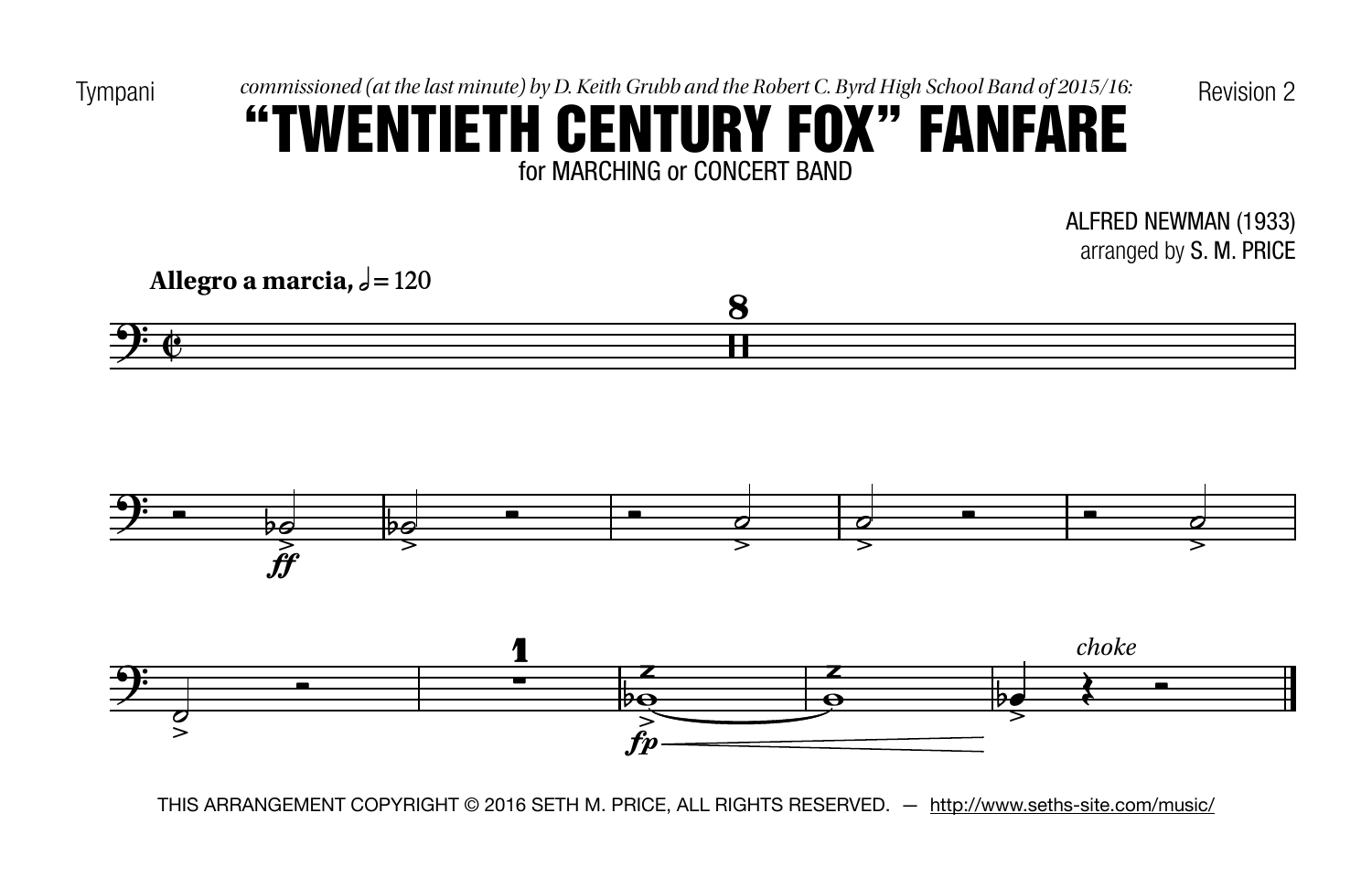Tympani commissioned (at the last minute) by D. Keith Grubb and the Robert C. Byrd High School Band of 2015/16: Revision 2

## for MARCHING or CONCERT BAND "TWENTIETH CENTURY FOX" FANFARE

ALFRED NEWMAN (1933) arranged by S. M. PRICE

**Allegro a** marcia,  $\sqrt{=}120$ 





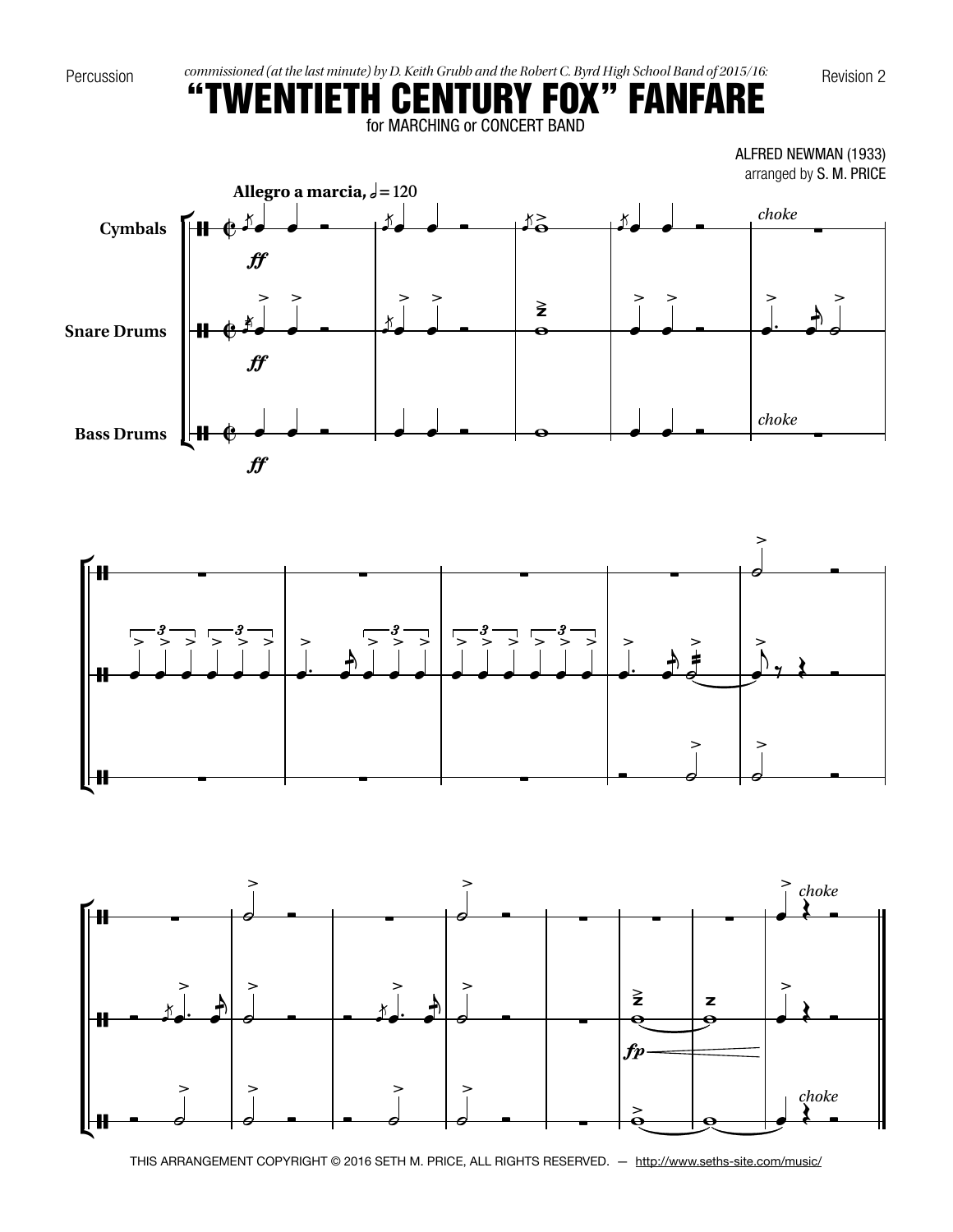



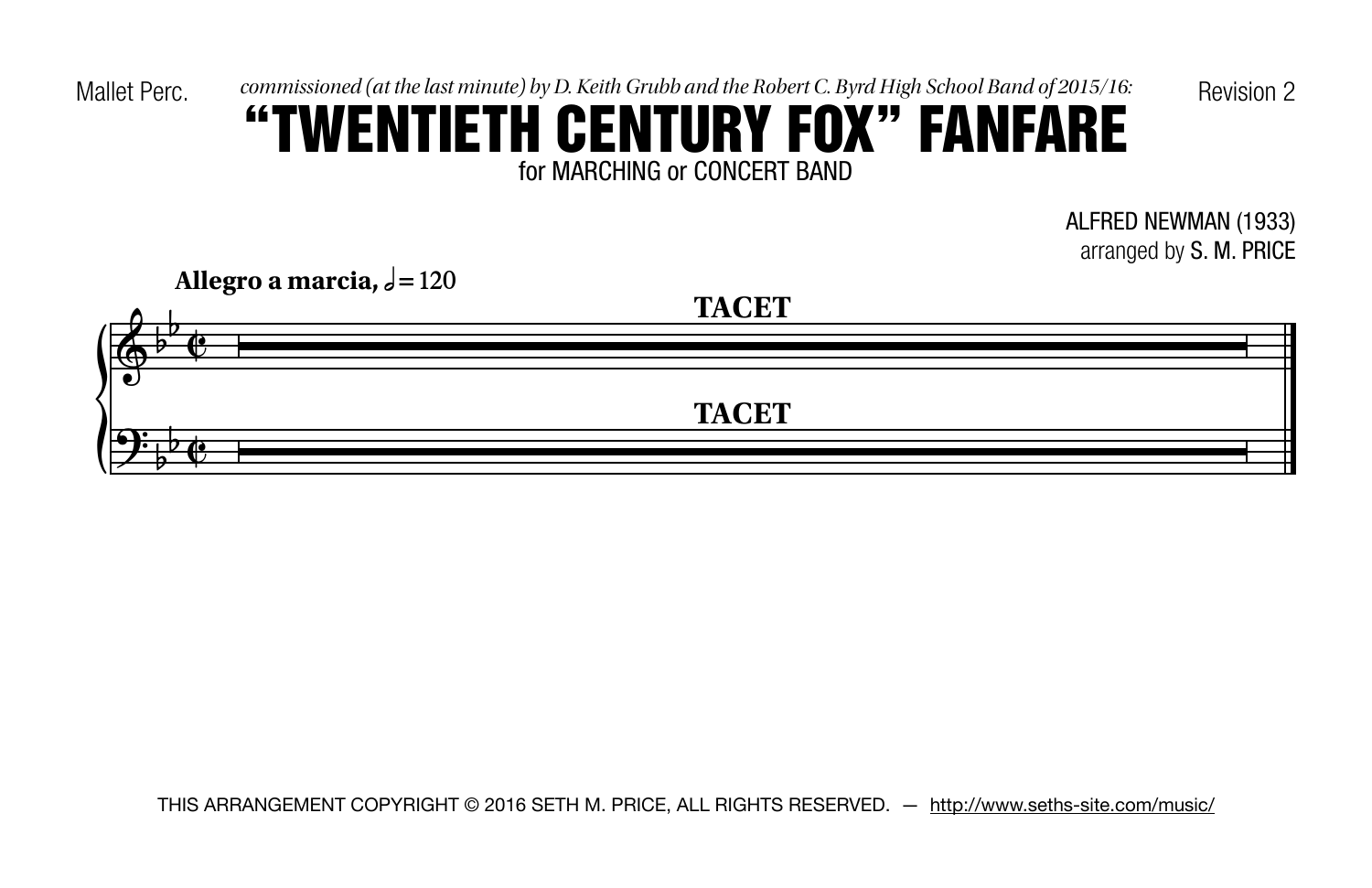Mallet Perc.  $commissioned$  (at the last minute) by D. Keith Grubb and the Robert C. Byrd High School Band of 2015/16: Revision 2

# for MARCHING or CONCERT BAND "TWENTIETH CENTURY FOX" FANFARE

ALFRED NEWMAN (1933) arranged by S. M. PRICE

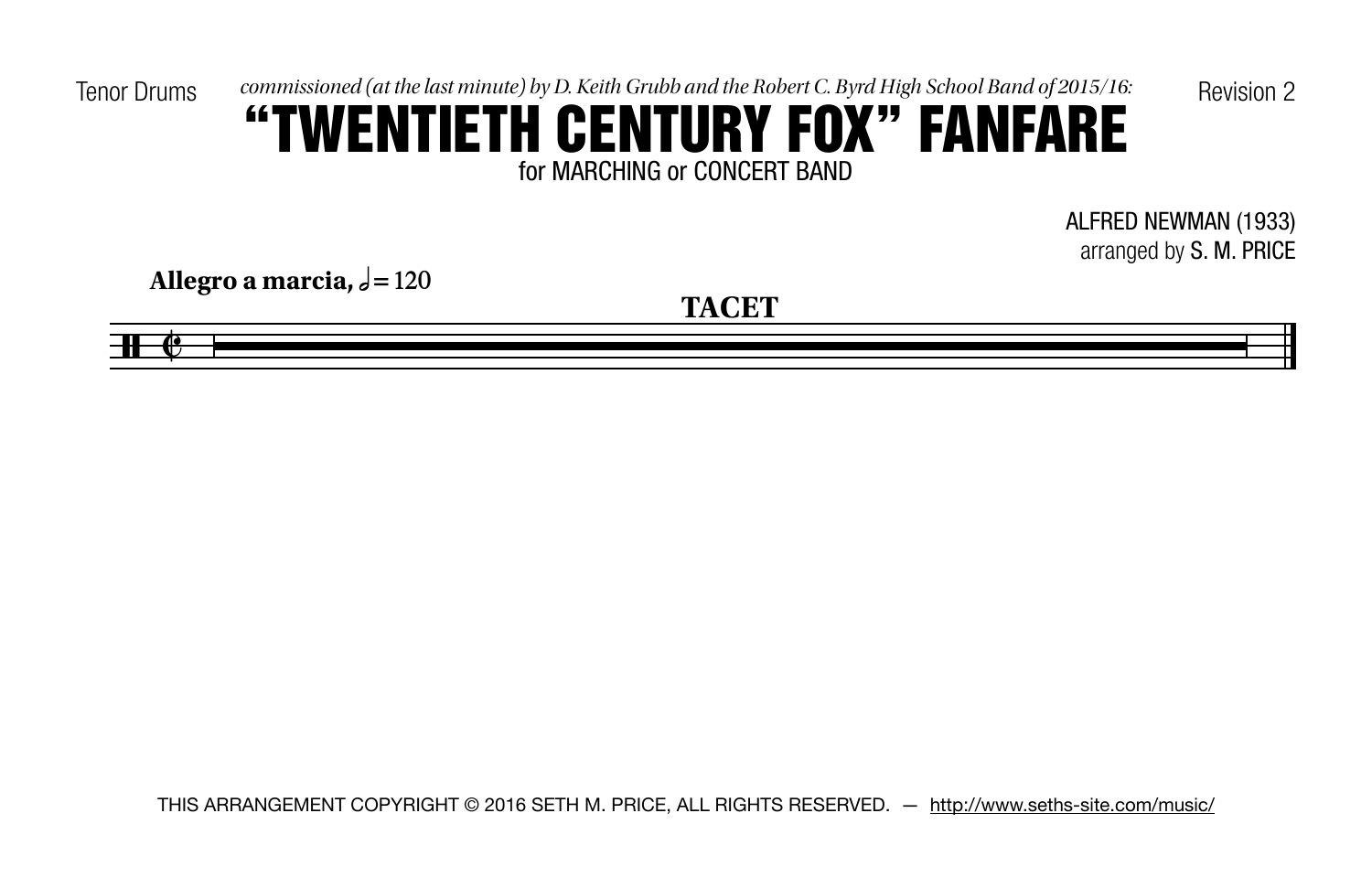Tenor Drums commissioned (at the last minute) by D. Keith Grubb and the Robert C. Byrd High School Band of 2015/16:<br>  $\frac{1}{2}$   $\frac{1}{2}$   $\frac{1}{2}$   $\frac{1}{2}$   $\frac{1}{2}$   $\frac{1}{2}$   $\frac{1}{2}$   $\frac{1}{2}$   $\frac{1}{2}$   $\frac{1}{2}$   $\frac{$ 

## for MARCHING or CONCERT BAND "TWENTIETH CENTURY FOX" FANFARE

ALFRED NEWMAN (1933) arranged by S. M. PRICE

**Allegro a** marcia,  $\sqrt{=}120$ 

 $\blacksquare$ 

**TACET**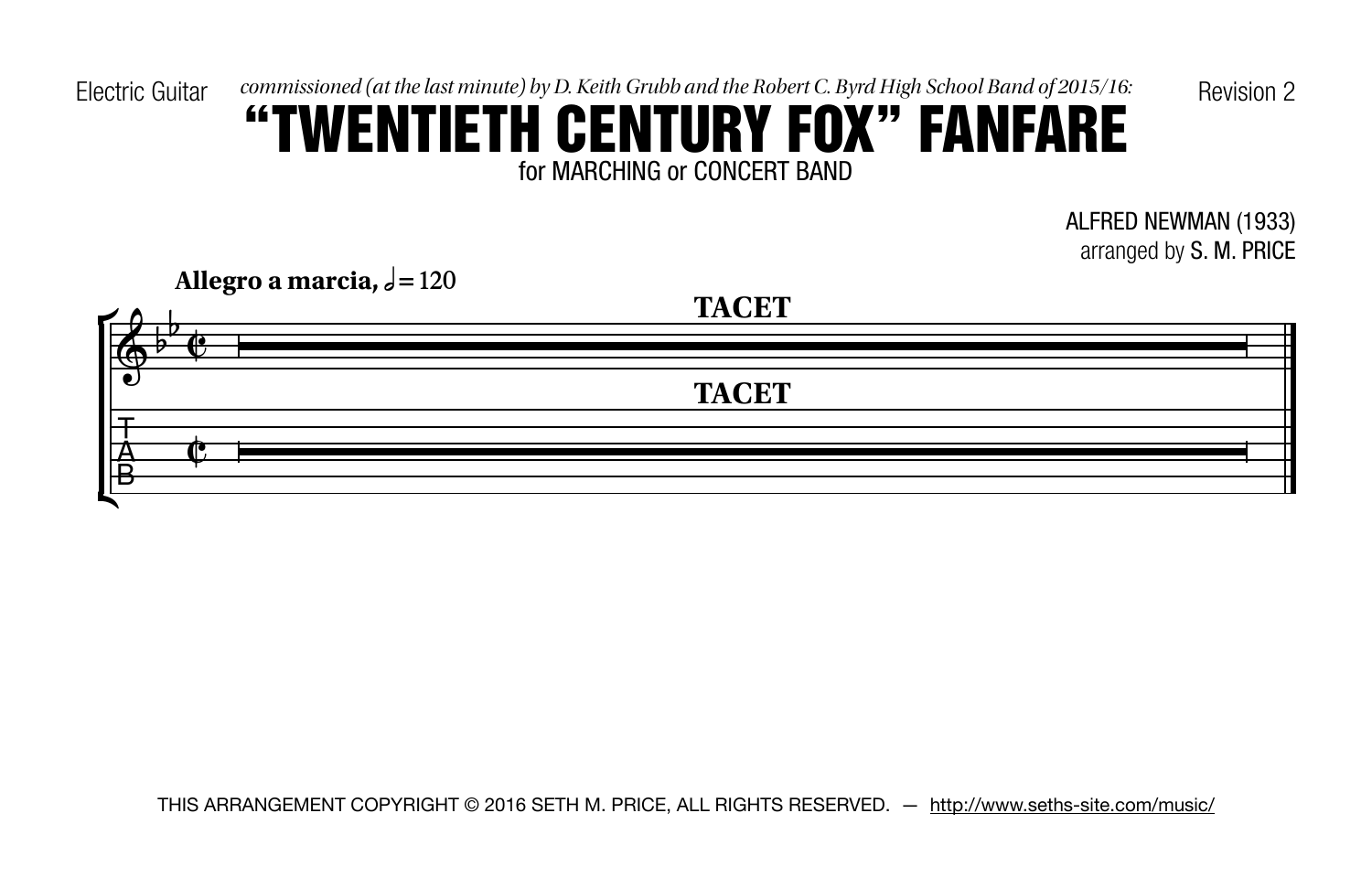Electric Guitar commissioned (at the last minute) by D. Keith Grubb and the Robert C. Byrd High School Band of 2015/16: Revision 2

# for MARCHING or CONCERT BAND "TWENTIETH CENTURY FOX" FANFARE

ALFRED NEWMAN (1933) arranged by S. M. PRICE